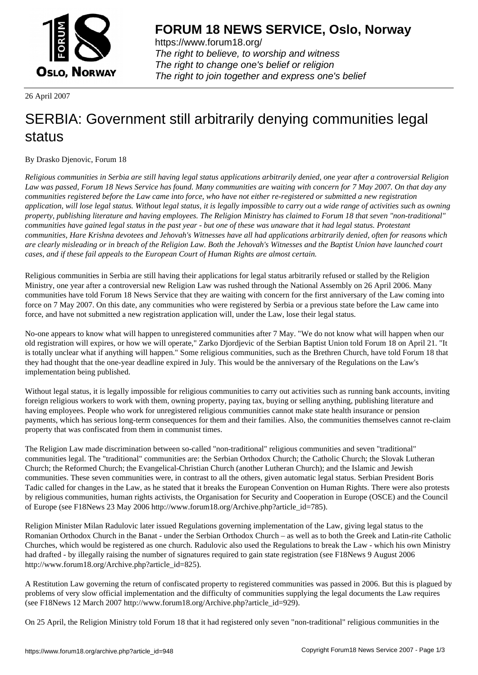

https://www.forum18.org/ The right to believe, to worship and witness The right to change one's belief or religion [The right to join together a](https://www.forum18.org/)nd express one's belief

26 April 2007

## [SERBIA: Gover](https://www.forum18.org)nment still arbitrarily denying communities legal status

## By Drasko Djenovic, Forum 18

*Religious communities in Serbia are still having legal status applications arbitrarily denied, one year after a controversial Religion Law was passed, Forum 18 News Service has found. Many communities are waiting with concern for 7 May 2007. On that day any communities registered before the Law came into force, who have not either re-registered or submitted a new registration application, will lose legal status. Without legal status, it is legally impossible to carry out a wide range of activities such as owning property, publishing literature and having employees. The Religion Ministry has claimed to Forum 18 that seven "non-traditional" communities have gained legal status in the past year - but one of these was unaware that it had legal status. Protestant communities, Hare Krishna devotees and Jehovah's Witnesses have all had applications arbitrarily denied, often for reasons which are clearly misleading or in breach of the Religion Law. Both the Jehovah's Witnesses and the Baptist Union have launched court cases, and if these fail appeals to the European Court of Human Rights are almost certain.*

Religious communities in Serbia are still having their applications for legal status arbitrarily refused or stalled by the Religion Ministry, one year after a controversial new Religion Law was rushed through the National Assembly on 26 April 2006. Many communities have told Forum 18 News Service that they are waiting with concern for the first anniversary of the Law coming into force on 7 May 2007. On this date, any communities who were registered by Serbia or a previous state before the Law came into force, and have not submitted a new registration application will, under the Law, lose their legal status.

No-one appears to know what will happen to unregistered communities after 7 May. "We do not know what will happen when our old registration will expires, or how we will operate," Zarko Djordjevic of the Serbian Baptist Union told Forum 18 on April 21. "It is totally unclear what if anything will happen." Some religious communities, such as the Brethren Church, have told Forum 18 that they had thought that the one-year deadline expired in July. This would be the anniversary of the Regulations on the Law's implementation being published.

Without legal status, it is legally impossible for religious communities to carry out activities such as running bank accounts, inviting foreign religious workers to work with them, owning property, paying tax, buying or selling anything, publishing literature and having employees. People who work for unregistered religious communities cannot make state health insurance or pension payments, which has serious long-term consequences for them and their families. Also, the communities themselves cannot re-claim property that was confiscated from them in communist times.

The Religion Law made discrimination between so-called "non-traditional" religious communities and seven "traditional" communities legal. The "traditional" communities are: the Serbian Orthodox Church; the Catholic Church; the Slovak Lutheran Church; the Reformed Church; the Evangelical-Christian Church (another Lutheran Church); and the Islamic and Jewish communities. These seven communities were, in contrast to all the others, given automatic legal status. Serbian President Boris Tadic called for changes in the Law, as he stated that it breaks the European Convention on Human Rights. There were also protests by religious communities, human rights activists, the Organisation for Security and Cooperation in Europe (OSCE) and the Council of Europe (see F18News 23 May 2006 http://www.forum18.org/Archive.php?article\_id=785).

Religion Minister Milan Radulovic later issued Regulations governing implementation of the Law, giving legal status to the Romanian Orthodox Church in the Banat - under the Serbian Orthodox Church – as well as to both the Greek and Latin-rite Catholic Churches, which would be registered as one church. Radulovic also used the Regulations to break the Law - which his own Ministry had drafted - by illegally raising the number of signatures required to gain state registration (see F18News 9 August 2006 http://www.forum18.org/Archive.php?article\_id=825).

A Restitution Law governing the return of confiscated property to registered communities was passed in 2006. But this is plagued by problems of very slow official implementation and the difficulty of communities supplying the legal documents the Law requires (see F18News 12 March 2007 http://www.forum18.org/Archive.php?article\_id=929).

On 25 April, the Religion Ministry told Forum 18 that it had registered only seven "non-traditional" religious communities in the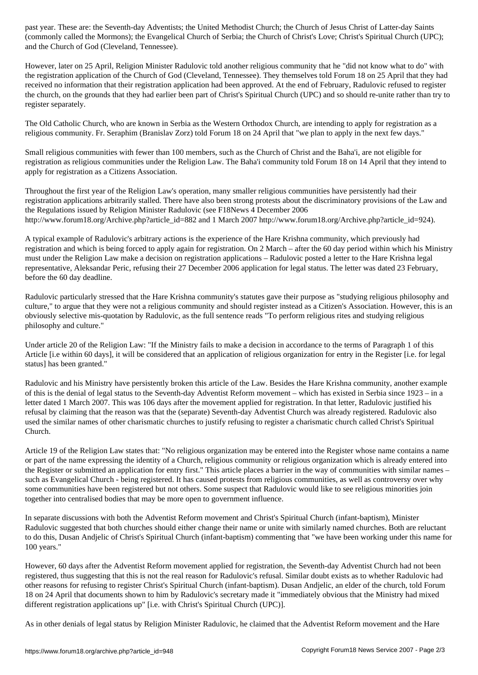$\zeta$  the Mormons); the Evangelical Church of Serbia; the Church of Christian Christian Christian Church (UPC); Christian Christian Church (UPC); Christian Church (UPC); Christian Church (UPC); Christian Church (UPC); Chr and the Church of God (Cleveland, Tennessee).

However, later on 25 April, Religion Minister Radulovic told another religious community that he "did not know what to do" with the registration application of the Church of God (Cleveland, Tennessee). They themselves told Forum 18 on 25 April that they had received no information that their registration application had been approved. At the end of February, Radulovic refused to register the church, on the grounds that they had earlier been part of Christ's Spiritual Church (UPC) and so should re-unite rather than try to register separately.

The Old Catholic Church, who are known in Serbia as the Western Orthodox Church, are intending to apply for registration as a religious community. Fr. Seraphim (Branislav Zorz) told Forum 18 on 24 April that "we plan to apply in the next few days."

Small religious communities with fewer than 100 members, such as the Church of Christ and the Baha'i, are not eligible for registration as religious communities under the Religion Law. The Baha'i community told Forum 18 on 14 April that they intend to apply for registration as a Citizens Association.

Throughout the first year of the Religion Law's operation, many smaller religious communities have persistently had their registration applications arbitrarily stalled. There have also been strong protests about the discriminatory provisions of the Law and the Regulations issued by Religion Minister Radulovic (see F18News 4 December 2006 http://www.forum18.org/Archive.php?article\_id=882 and 1 March 2007 http://www.forum18.org/Archive.php?article\_id=924).

A typical example of Radulovic's arbitrary actions is the experience of the Hare Krishna community, which previously had registration and which is being forced to apply again for registration. On 2 March – after the 60 day period within which his Ministry must under the Religion Law make a decision on registration applications – Radulovic posted a letter to the Hare Krishna legal representative, Aleksandar Peric, refusing their 27 December 2006 application for legal status. The letter was dated 23 February, before the 60 day deadline.

Radulovic particularly stressed that the Hare Krishna community's statutes gave their purpose as "studying religious philosophy and culture," to argue that they were not a religious community and should register instead as a Citizen's Association. However, this is an obviously selective mis-quotation by Radulovic, as the full sentence reads "To perform religious rites and studying religious philosophy and culture."

Under article 20 of the Religion Law: "If the Ministry fails to make a decision in accordance to the terms of Paragraph 1 of this Article [i.e within 60 days], it will be considered that an application of religious organization for entry in the Register [i.e. for legal status] has been granted."

Radulovic and his Ministry have persistently broken this article of the Law. Besides the Hare Krishna community, another example of this is the denial of legal status to the Seventh-day Adventist Reform movement – which has existed in Serbia since 1923 – in a letter dated 1 March 2007. This was 106 days after the movement applied for registration. In that letter, Radulovic justified his refusal by claiming that the reason was that the (separate) Seventh-day Adventist Church was already registered. Radulovic also used the similar names of other charismatic churches to justify refusing to register a charismatic church called Christ's Spiritual Church.

Article 19 of the Religion Law states that: "No religious organization may be entered into the Register whose name contains a name or part of the name expressing the identity of a Church, religious community or religious organization which is already entered into the Register or submitted an application for entry first." This article places a barrier in the way of communities with similar names – such as Evangelical Church - being registered. It has caused protests from religious communities, as well as controversy over why some communities have been registered but not others. Some suspect that Radulovic would like to see religious minorities join together into centralised bodies that may be more open to government influence.

In separate discussions with both the Adventist Reform movement and Christ's Spiritual Church (infant-baptism), Minister Radulovic suggested that both churches should either change their name or unite with similarly named churches. Both are reluctant to do this, Dusan Andjelic of Christ's Spiritual Church (infant-baptism) commenting that "we have been working under this name for 100 years."

However, 60 days after the Adventist Reform movement applied for registration, the Seventh-day Adventist Church had not been registered, thus suggesting that this is not the real reason for Radulovic's refusal. Similar doubt exists as to whether Radulovic had other reasons for refusing to register Christ's Spiritual Church (infant-baptism). Dusan Andjelic, an elder of the church, told Forum 18 on 24 April that documents shown to him by Radulovic's secretary made it "immediately obvious that the Ministry had mixed different registration applications up" [i.e. with Christ's Spiritual Church (UPC)].

As in other denials of legal status by Religion Minister Radulovic, he claimed that the Adventist Reform movement and the Hare